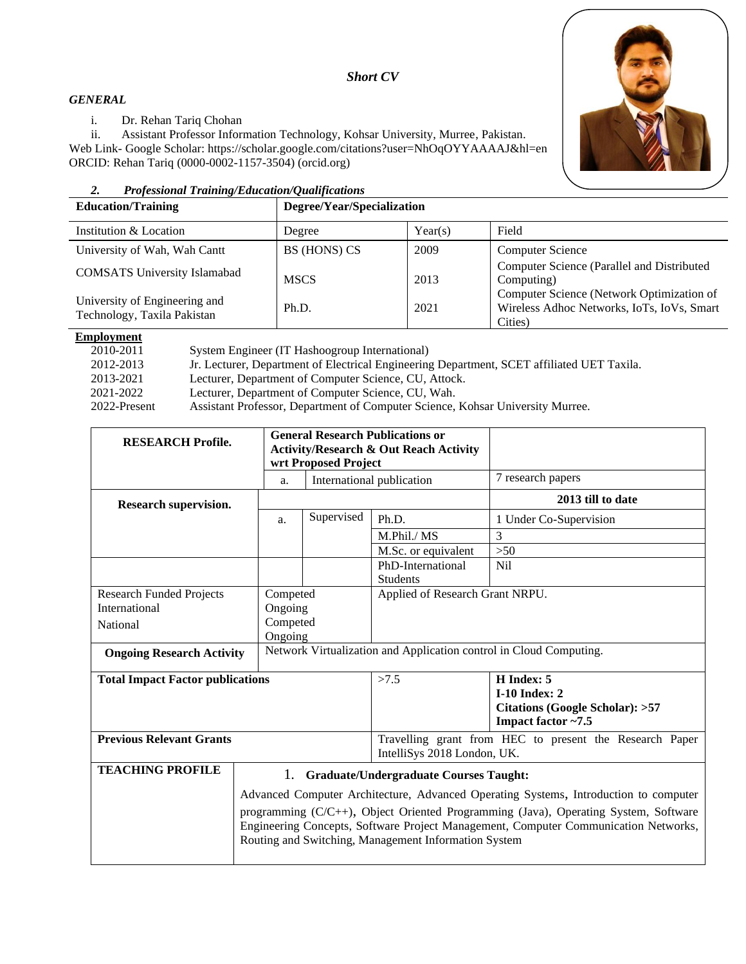### *Short CV*

#### *GENERAL*

i. Dr. Rehan Tariq Chohan

ii. Assistant Professor Information Technology, Kohsar University, Murree, Pakistan. Web Link- Google Scholar: https://scholar.google.com/citations?user=NhOqOYYAAAAJ&hl=en ORCID: [Rehan Tariq \(0000-0002-1157-3504\) \(orcid.org\)](https://orcid.org/0000-0002-2171-6062)

### *2. Professional Training/Education/Qualifications*

| <b>Education/Training</b>                                    | Degree/Year/Specialization |         |                                                                                                    |
|--------------------------------------------------------------|----------------------------|---------|----------------------------------------------------------------------------------------------------|
| Institution & Location                                       | Degree                     | Year(s) | Field                                                                                              |
| University of Wah, Wah Cantt                                 | BS (HONS) CS               | 2009    | <b>Computer Science</b>                                                                            |
| <b>COMSATS</b> University Islamabad                          | <b>MSCS</b>                | 2013    | Computer Science (Parallel and Distributed<br>Computing)                                           |
| University of Engineering and<br>Technology, Taxila Pakistan | Ph.D.                      | 2021    | Computer Science (Network Optimization of<br>Wireless Adhoc Networks, IoTs, IoVs, Smart<br>Cities) |

### **Employment**

| 2010-2011    | System Engineer (IT Hashoogroup International)                                             |
|--------------|--------------------------------------------------------------------------------------------|
| 2012-2013    | Jr. Lecturer, Department of Electrical Engineering Department, SCET affiliated UET Taxila. |
| 2013-2021    | Lecturer, Department of Computer Science, CU, Attock.                                      |
| 2021-2022    | Lecturer, Department of Computer Science, CU, Wah.                                         |
| 2022-Present | Assistant Professor, Department of Computer Science, Kohsar University Murree.             |

| <b>RESEARCH Profile.</b>                                                                               | <b>General Research Publications or</b><br><b>Activity/Research &amp; Out Reach Activity</b><br>wrt Proposed Project                                                                                                                                                                                                       |            |                                 |                                                                 |  |
|--------------------------------------------------------------------------------------------------------|----------------------------------------------------------------------------------------------------------------------------------------------------------------------------------------------------------------------------------------------------------------------------------------------------------------------------|------------|---------------------------------|-----------------------------------------------------------------|--|
|                                                                                                        | a.                                                                                                                                                                                                                                                                                                                         |            | International publication       | 7 research papers                                               |  |
| Research supervision.                                                                                  |                                                                                                                                                                                                                                                                                                                            |            |                                 | 2013 till to date                                               |  |
|                                                                                                        | a.                                                                                                                                                                                                                                                                                                                         | Supervised | Ph.D.                           | 1 Under Co-Supervision                                          |  |
|                                                                                                        |                                                                                                                                                                                                                                                                                                                            |            | M.Phil./MS                      | 3                                                               |  |
|                                                                                                        |                                                                                                                                                                                                                                                                                                                            |            | M.Sc. or equivalent             | $>50$                                                           |  |
|                                                                                                        |                                                                                                                                                                                                                                                                                                                            |            | PhD-International               | <b>Nil</b>                                                      |  |
|                                                                                                        |                                                                                                                                                                                                                                                                                                                            |            | <b>Students</b>                 |                                                                 |  |
| <b>Research Funded Projects</b>                                                                        | Competed                                                                                                                                                                                                                                                                                                                   |            | Applied of Research Grant NRPU. |                                                                 |  |
| International                                                                                          | Ongoing                                                                                                                                                                                                                                                                                                                    |            |                                 |                                                                 |  |
| National                                                                                               | Competed                                                                                                                                                                                                                                                                                                                   |            |                                 |                                                                 |  |
|                                                                                                        | Ongoing                                                                                                                                                                                                                                                                                                                    |            |                                 |                                                                 |  |
| Network Virtualization and Application control in Cloud Computing.<br><b>Ongoing Research Activity</b> |                                                                                                                                                                                                                                                                                                                            |            |                                 |                                                                 |  |
| <b>Total Impact Factor publications</b>                                                                |                                                                                                                                                                                                                                                                                                                            |            | >7.5                            | H Index: 5                                                      |  |
|                                                                                                        |                                                                                                                                                                                                                                                                                                                            |            |                                 | $I-10$ Index: 2                                                 |  |
|                                                                                                        |                                                                                                                                                                                                                                                                                                                            |            |                                 | <b>Citations (Google Scholar): &gt;57</b><br>Impact factor ~7.5 |  |
| <b>Previous Relevant Grants</b>                                                                        |                                                                                                                                                                                                                                                                                                                            |            | IntelliSys 2018 London, UK.     | Travelling grant from HEC to present the Research Paper         |  |
| <b>TEACHING PROFILE</b>                                                                                | 1. Graduate/Undergraduate Courses Taught:                                                                                                                                                                                                                                                                                  |            |                                 |                                                                 |  |
|                                                                                                        | Advanced Computer Architecture, Advanced Operating Systems, Introduction to computer<br>programming (C/C++), Object Oriented Programming (Java), Operating System, Software<br>Engineering Concepts, Software Project Management, Computer Communication Networks,<br>Routing and Switching, Management Information System |            |                                 |                                                                 |  |

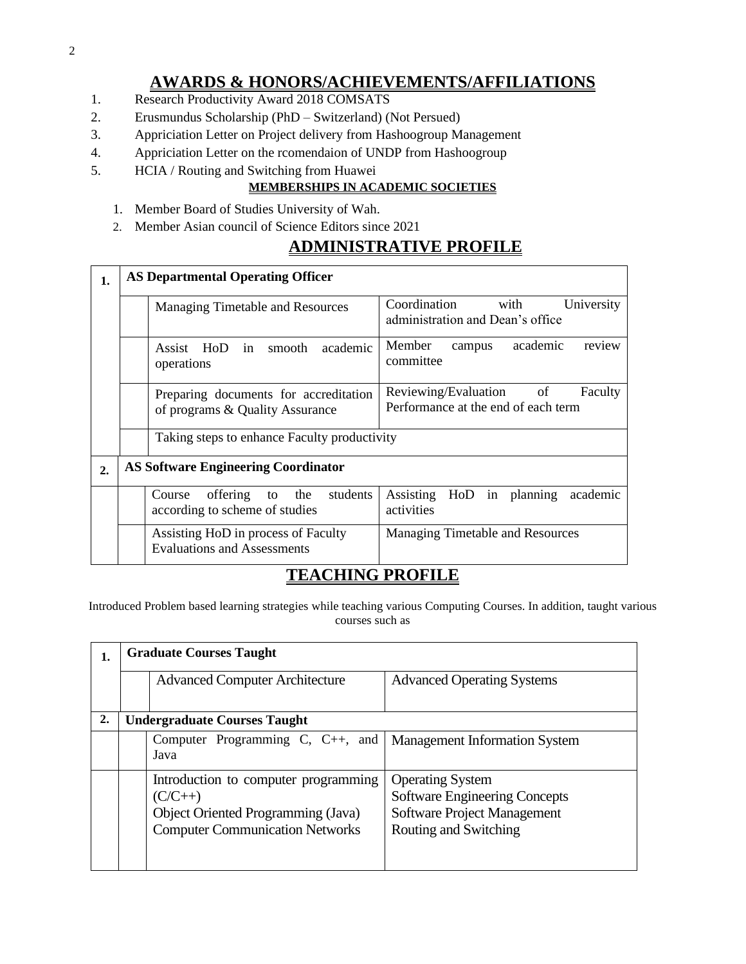# **AWARDS & HONORS/ACHIEVEMENTS/AFFILIATIONS**

- 1. Research Productivity Award 2018 COMSATS
- 2. Erusmundus Scholarship (PhD Switzerland) (Not Persued)
- 3. Appriciation Letter on Project delivery from Hashoogroup Management
- 4. Appriciation Letter on the rcomendaion of UNDP from Hashoogroup
- 5. HCIA / Routing and Switching from Huawei

### **MEMBERSHIPS IN ACADEMIC SOCIETIES**

- 1. Member Board of Studies University of Wah.
- 2. Member Asian council of Science Editors since 2021

# **ADMINISTRATIVE PROFILE**

| 1. | <b>AS Departmental Operating Officer</b>   |                                                                            |                                                                              |  |  |
|----|--------------------------------------------|----------------------------------------------------------------------------|------------------------------------------------------------------------------|--|--|
|    |                                            | <b>Managing Timetable and Resources</b>                                    | Coordination<br>with<br>University<br>administration and Dean's office       |  |  |
|    |                                            | Assist HoD in<br>academic<br>smooth<br>operations                          | academic<br>Member<br>review<br>campus<br>committee                          |  |  |
|    |                                            | Preparing documents for accreditation<br>of programs & Quality Assurance   | Reviewing/Evaluation<br>of<br>Faculty<br>Performance at the end of each term |  |  |
|    |                                            | Taking steps to enhance Faculty productivity                               |                                                                              |  |  |
| 2. | <b>AS Software Engineering Coordinator</b> |                                                                            |                                                                              |  |  |
|    |                                            | students<br>offering<br>to the<br>Course<br>according to scheme of studies | Assisting<br>HoD in planning academic<br>activities                          |  |  |
|    |                                            | Assisting HoD in process of Faculty<br><b>Evaluations and Assessments</b>  | <b>Managing Timetable and Resources</b>                                      |  |  |

## **TEACHING PROFILE**

Introduced Problem based learning strategies while teaching various Computing Courses. In addition, taught various courses such as

| 1. |                                     | <b>Graduate Courses Taught</b>                                                                                                           |                                                                                                                                |  |  |  |
|----|-------------------------------------|------------------------------------------------------------------------------------------------------------------------------------------|--------------------------------------------------------------------------------------------------------------------------------|--|--|--|
|    |                                     | <b>Advanced Computer Architecture</b>                                                                                                    | <b>Advanced Operating Systems</b>                                                                                              |  |  |  |
| 2. | <b>Undergraduate Courses Taught</b> |                                                                                                                                          |                                                                                                                                |  |  |  |
|    |                                     | Computer Programming C, C++, and   Management Information System<br>Java                                                                 |                                                                                                                                |  |  |  |
|    |                                     | Introduction to computer programming<br>$(C/C++)$<br><b>Object Oriented Programming (Java)</b><br><b>Computer Communication Networks</b> | <b>Operating System</b><br><b>Software Engineering Concepts</b><br><b>Software Project Management</b><br>Routing and Switching |  |  |  |